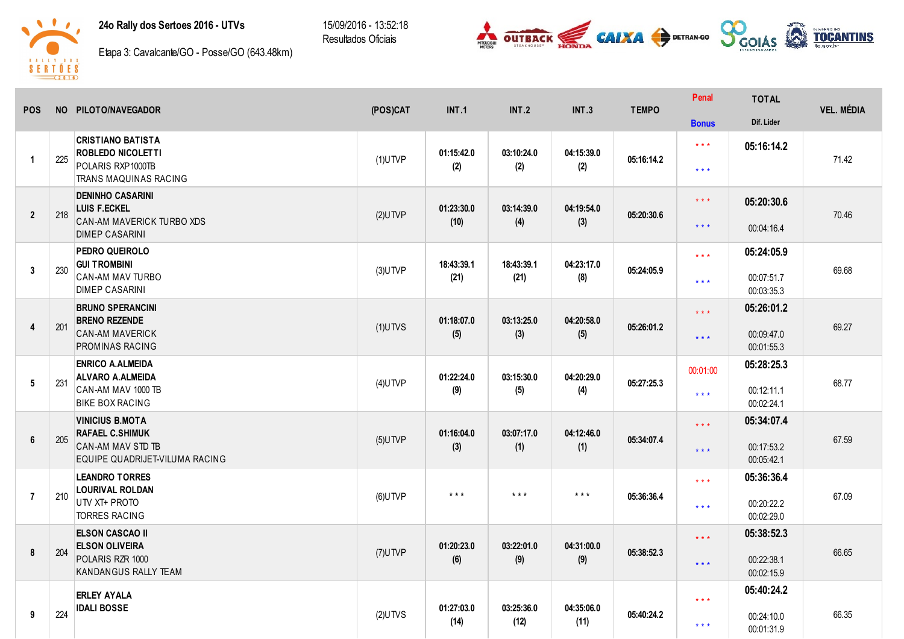24o Rally dos Sertoes 2016 - UTVs

15/09/2016 - 13:52:18 Resultados Oficiais





Etapa 3: Cavalcante/GO - Posse/GO (643.48km)

| <b>POS</b>              |     | NO PILOTO/NAVEGADOR                                                                                     | (POS)CAT   | <b>INT.1</b>            | INT.2              | <b>INT.3</b>       | <b>TEMPO</b> | Penal                                              | <b>TOTAL</b>                           | <b>VEL. MÉDIA</b> |
|-------------------------|-----|---------------------------------------------------------------------------------------------------------|------------|-------------------------|--------------------|--------------------|--------------|----------------------------------------------------|----------------------------------------|-------------------|
|                         |     |                                                                                                         |            |                         |                    |                    |              | <b>Bonus</b>                                       | Dif. Lider                             |                   |
| $\blacktriangleleft$    | 225 | <b>CRISTIANO BATISTA</b><br><b>ROBLEDO NICOLETTI</b><br>POLARIS RXP1000TB<br>TRANS MAQUINAS RACING      | $(1)$ UTVP | 01:15:42.0<br>(2)       | 03:10:24.0<br>(2)  | 04:15:39.0<br>(2)  | 05:16:14.2   | $\star$ $\star$ $\star$<br>$\star$ $\star$ $\star$ | 05:16:14.2                             | 71.42             |
| $\overline{2}$          | 218 | <b>DENINHO CASARINI</b><br><b>LUIS F.ECKEL</b><br>CAN-AM MAVERICK TURBO XDS<br><b>DIMEP CASARINI</b>    | $(2)$ UTVP | 01:23:30.0<br>(10)      | 03:14:39.0<br>(4)  | 04:19:54.0<br>(3)  | 05:20:30.6   | $* * *$<br>$***$                                   | 05:20:30.6<br>00:04:16.4               | 70.46             |
| $\overline{3}$          | 230 | PEDRO QUEIROLO<br><b>GUI TROMBINI</b><br><b>CAN-AM MAV TURBO</b><br><b>DIMEP CASARINI</b>               | $(3)$ UTVP | 18:43:39.1<br>(21)      | 18:43:39.1<br>(21) | 04:23:17.0<br>(8)  | 05:24:05.9   | $\star$ $\star$ $\star$<br>$\star$ $\star$ $\star$ | 05:24:05.9<br>00:07:51.7<br>00:03:35.3 | 69.68             |
| $\overline{\mathbf{4}}$ | 201 | <b>BRUNO SPERANCINI</b><br><b>BRENO REZENDE</b><br><b>CAN-AM MAVERICK</b><br>PROMINAS RACING            | $(1)$ UTVS | 01:18:07.0<br>(5)       | 03:13:25.0<br>(3)  | 04:20:58.0<br>(5)  | 05:26:01.2   | $***$<br>$***$                                     | 05:26:01.2<br>00:09:47.0<br>00:01:55.3 | 69.27             |
| 5                       | 231 | <b>ENRICO A.ALMEIDA</b><br><b>ALVARO A.ALMEIDA</b><br>CAN-AM MAV 1000 TB<br><b>BIKE BOX RACING</b>      | $(4)$ UTVP | 01:22:24.0<br>(9)       | 03:15:30.0<br>(5)  | 04:20:29.0<br>(4)  | 05:27:25.3   | 00:01:00<br>$***$                                  | 05:28:25.3<br>00:12:11.1<br>00:02:24.1 | 68.77             |
| 6                       | 205 | <b>VINICIUS B.MOTA</b><br><b>RAFAEL C.SHIMUK</b><br>CAN-AM MAV STD TB<br>EQUIPE QUADRIJET-VILUMA RACING | $(5)$ UTVP | 01:16:04.0<br>(3)       | 03:07:17.0<br>(1)  | 04:12:46.0<br>(1)  | 05:34:07.4   | $***$<br>$***$                                     | 05:34:07.4<br>00:17:53.2<br>00:05:42.1 | 67.59             |
| $\overline{7}$          | 210 | <b>LEANDRO TORRES</b><br><b>LOURIVAL ROLDAN</b><br>UTV XT+ PROTO<br><b>TORRES RACING</b>                | $(6)$ UTVP | $\star$ $\star$ $\star$ | $***$              | $***$              | 05:36:36.4   | $\star \star \star$<br>$\star\star\star$           | 05:36:36.4<br>00:20:22.2<br>00:02:29.0 | 67.09             |
| 8                       | 204 | <b>ELSON CASCAO II</b><br><b>ELSON OLIVEIRA</b><br>POLARIS RZR 1000<br>KANDANGUS RALLY TEAM             | $(7)$ UTVP | 01:20:23.0<br>(6)       | 03:22:01.0<br>(9)  | 04:31:00.0<br>(9)  | 05:38:52.3   | $***$<br>$***$                                     | 05:38:52.3<br>00:22:38.1<br>00:02:15.9 | 66.65             |
| 9                       | 224 | <b>ERLEY AYALA</b><br><b>IDALI BOSSE</b>                                                                | $(2)$ UTVS | 01:27:03.0<br>(14)      | 03:25:36.0<br>(12) | 04:35:06.0<br>(11) | 05:40:24.2   | $***$<br>$***$                                     | 05:40:24.2<br>00:24:10.0<br>00:01:31.9 | 66.35             |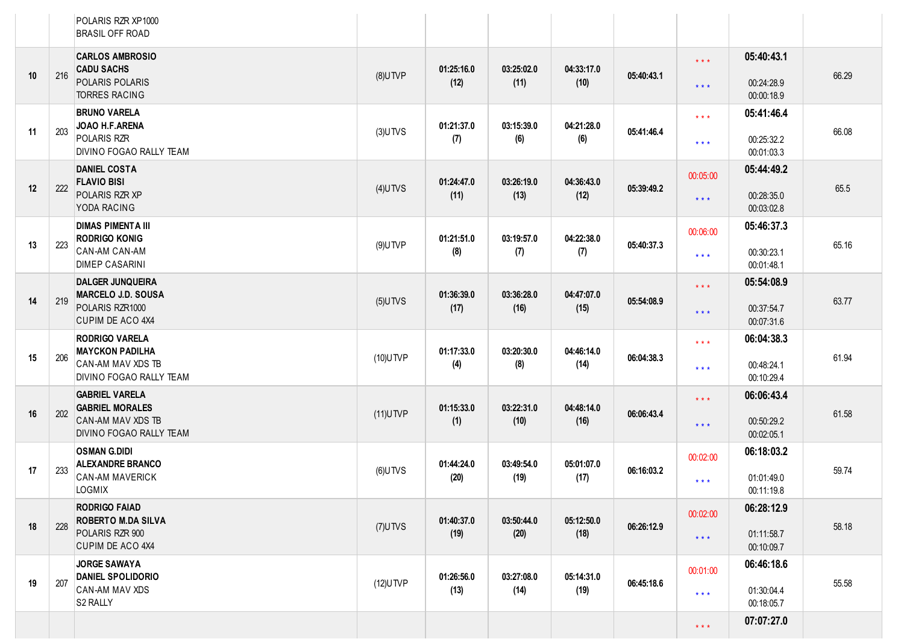|    |     | POLARIS RZR XP1000<br><b>BRASIL OFF ROAD</b>                           |             |                    |                    |                    |            |                     |                          |       |
|----|-----|------------------------------------------------------------------------|-------------|--------------------|--------------------|--------------------|------------|---------------------|--------------------------|-------|
|    |     | <b>CARLOS AMBROSIO</b>                                                 |             |                    |                    |                    |            | $\star \star \star$ | 05:40:43.1               |       |
| 10 | 216 | <b>CADU SACHS</b><br>POLARIS POLARIS<br>TORRES RACING                  | $(8)$ UTVP  | 01:25:16.0<br>(12) | 03:25:02.0<br>(11) | 04:33:17.0<br>(10) | 05:40:43.1 | $\star \star \star$ | 00:24:28.9<br>00:00:18.9 | 66.29 |
|    |     | <b>BRUNO VARELA</b><br>JOAO H.F.ARENA                                  |             | 01:21:37.0         | 03:15:39.0         | 04:21:28.0         |            | $***$               | 05:41:46.4               |       |
| 11 | 203 | POLARIS RZR<br>DIVINO FOGAO RALLY TEAM                                 | $(3)$ UTVS  | (7)                | (6)                | (6)                | 05:41:46.4 | $* * *$             | 00:25:32.2<br>00:01:03.3 | 66.08 |
|    |     | <b>DANIEL COSTA</b><br><b>FLAVIO BISI</b>                              |             | 01:24:47.0         | 03:26:19.0         | 04:36:43.0         |            | 00:05:00            | 05:44:49.2               |       |
| 12 | 222 | POLARIS RZR XP<br>YODA RACING                                          | $(4)$ UTVS  | (11)               | (13)               | (12)               | 05:39:49.2 | $***$               | 00:28:35.0<br>00:03:02.8 | 65.5  |
|    |     | <b>DIMAS PIMENTA III</b><br><b>RODRIGO KONIG</b>                       |             | 01:21:51.0         | 03:19:57.0         | 04:22:38.0         |            | 00:06:00            | 05:46:37.3               |       |
| 13 | 223 | CAN-AM CAN-AM<br><b>DIMEP CASARINI</b>                                 | $(9)$ UTVP  | (8)                | (7)                | (7)                | 05:40:37.3 | $***$               | 00:30:23.1<br>00:01:48.1 | 65.16 |
|    |     | <b>DALGER JUNQUEIRA</b><br><b>MARCELO J.D. SOUSA</b>                   |             | 01:36:39.0         | 03:36:28.0         | 04:47:07.0         | 05:54:08.9 | $\star \star \star$ | 05:54:08.9               | 63.77 |
| 14 | 219 | POLARIS RZR1000<br>CUPIM DE ACO 4X4                                    | $(5)$ UTVS  | (17)               | (16)               | (15)               |            | $* * *$             | 00:37:54.7               |       |
|    |     | <b>RODRIGO VARELA</b>                                                  |             |                    |                    |                    |            | $***$               | 00:07:31.6<br>06:04:38.3 |       |
| 15 | 206 | <b>MAYCKON PADILHA</b><br>CAN-AM MAV XDS TB<br>DIVINO FOGAO RALLY TEAM | (10) UTVP   | 01:17:33.0<br>(4)  | 03:20:30.0<br>(8)  | 04:46:14.0<br>(14) | 06:04:38.3 | $***$               | 00:48:24.1               | 61.94 |
|    |     | <b>GABRIEL VARELA</b>                                                  |             |                    |                    |                    |            | $\star \star \star$ | 00:10:29.4<br>06:06:43.4 |       |
| 16 | 202 | <b>GABRIEL MORALES</b><br>CAN-AM MAV XDS TB                            | $(11)$ UTVP | 01:15:33.0<br>(1)  | 03:22:31.0<br>(10) | 04:48:14.0<br>(16) | 06:06:43.4 |                     | 00:50:29.2               | 61.58 |
|    |     | DIVINO FOGAO RALLY TEAM                                                |             |                    |                    |                    |            | $***$               | 00:02:05.1               |       |
|    |     | <b>OSMAN G.DIDI</b><br><b>ALEXANDRE BRANCO</b>                         |             | 01:44:24.0         | 03:49:54.0         | 05:01:07.0         |            | 00:02:00            | 06:18:03.2               |       |
| 17 | 233 | <b>CAN-AM MAVERICK</b><br>LOGMIX                                       | $(6)$ UTVS  | (20)               | (19)               | (17)               | 06:16:03.2 | $* * *$             | 01:01:49.0<br>00:11:19.8 | 59.74 |
|    |     | <b>RODRIGO FAIAD</b>                                                   |             |                    |                    |                    |            | 00:02:00            | 06:28:12.9               |       |
| 18 | 228 | <b>ROBERTO M.DA SILVA</b><br>POLARIS RZR 900<br>CUPIM DE ACO 4X4       | $(7)$ UTVS  | 01:40:37.0<br>(19) | 03:50:44.0<br>(20) | 05:12:50.0<br>(18) | 06:26:12.9 | $***$               | 01:11:58.7<br>00:10:09.7 | 58.18 |
|    |     | <b>JORGE SAWAYA</b>                                                    |             |                    |                    |                    |            | 00:01:00            | 06:46:18.6               |       |
| 19 | 207 | <b>DANIEL SPOLIDORIO</b><br>CAN-AM MAV XDS<br>S2 RALLY                 | $(12)$ UTVP | 01:26:56.0<br>(13) | 03:27:08.0<br>(14) | 05:14:31.0<br>(19) | 06:45:18.6 | $***$               | 01:30:04.4<br>00:18:05.7 | 55.58 |
|    |     |                                                                        |             |                    |                    |                    |            | $\star\star\star$   | 07:07:27.0               |       |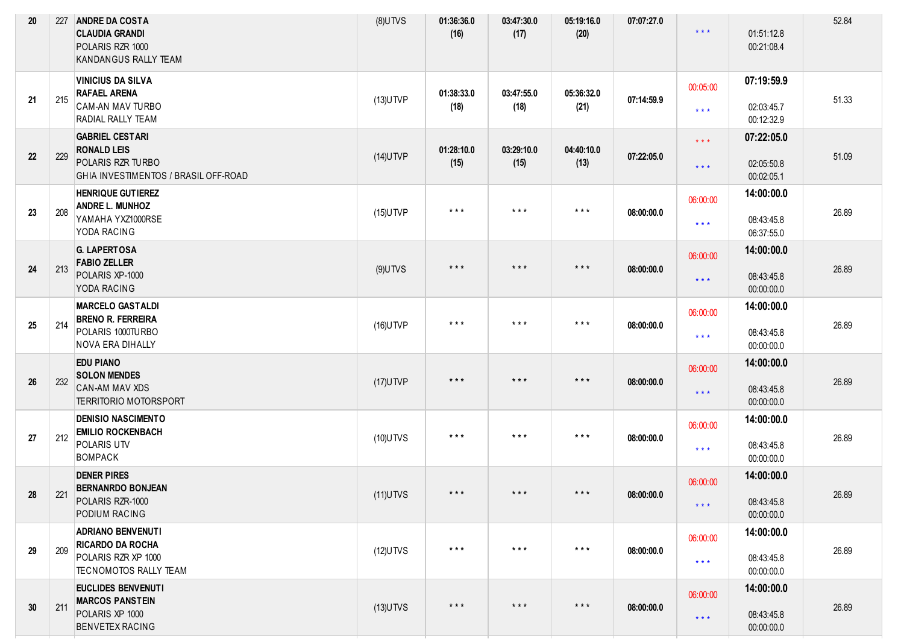| 20 | 227 | <b>ANDRE DA COSTA</b><br><b>CLAUDIA GRANDI</b><br>POLARIS RZR 1000<br><b>KANDANGUS RALLY TEAM</b>                                            | $(8)$ UTVS  | 01:36:36.0<br>(16)      | 03:47:30.0<br>(17)      | 05:19:16.0<br>(20)      | 07:07:27.0 | $* * *$                                            | 01:51:12.8<br>00:21:08.4                             | 52.84 |
|----|-----|----------------------------------------------------------------------------------------------------------------------------------------------|-------------|-------------------------|-------------------------|-------------------------|------------|----------------------------------------------------|------------------------------------------------------|-------|
| 21 | 215 | <b>VINICIUS DA SILVA</b><br><b>RAFAEL ARENA</b><br>CAM-AN MAV TURBO                                                                          | $(13)$ UTVP | 01:38:33.0<br>(18)      | 03:47:55.0<br>(18)      | 05:36:32.0<br>(21)      | 07:14:59.9 | 00:05:00<br>$\star$ $\star$ $\star$                | 07:19:59.9<br>02:03:45.7                             | 51.33 |
| 22 | 229 | <b>RADIAL RALLY TEAM</b><br><b>GABRIEL CESTARI</b><br><b>RONALD LEIS</b><br>POLARIS RZR TURBO<br><b>GHIA INVESTIMENTOS / BRASIL OFF-ROAD</b> | $(14)$ UTVP | 01:28:10.0<br>(15)      | 03:29:10.0<br>(15)      | 04:40:10.0<br>(13)      | 07:22:05.0 | $\star$ $\star$ $\star$<br>$\star$ $\star$ $\star$ | 00:12:32.9<br>07:22:05.0<br>02:05:50.8<br>00:02:05.1 | 51.09 |
| 23 | 208 | <b>HENRIQUE GUTIEREZ</b><br><b>ANDRE L. MUNHOZ</b><br>YAMAHA YXZ1000RSE<br>YODA RACING                                                       | $(15)$ UTVP | $\star$ $\star$ $\star$ | $\star$ $\star$ $\star$ | $***$                   | 08:00:00.0 | 06:00:00<br>$\star$ $\star$ $\star$                | 14:00:00.0<br>08:43:45.8<br>06:37:55.0               | 26.89 |
| 24 | 213 | <b>G. LAPERTOSA</b><br><b>FABIO ZELLER</b><br>POLARIS XP-1000<br>YODA RACING                                                                 | $(9)$ UTVS  | $***$                   | $\star$ $\star$ $\star$ | $* * *$                 | 08:00:00.0 | 06:00:00<br>$\star$ $\star$ $\star$                | 14:00:00.0<br>08:43:45.8<br>00:00:00.0               | 26.89 |
| 25 | 214 | <b>MARCELO GASTALDI</b><br><b>BRENO R. FERREIRA</b><br>POLARIS 1000TURBO<br><b>NOVA ERA DIHALLY</b>                                          | $(16)$ UTVP | $\star$ $\star$ $\star$ | $***$                   | $***$                   | 08:00:00.0 | 06:00:00<br>$\star$ $\star$ $\star$                | 14:00:00.0<br>08:43:45.8<br>00:00:00.0               | 26.89 |
| 26 | 232 | <b>EDU PIANO</b><br><b>SOLON MENDES</b><br>CAN-AM MAV XDS<br><b>TERRITORIO MOTORSPORT</b>                                                    | $(17)$ UTVP | $***$                   | $\star$ $\star$ $\star$ | $\star$ $\star$ $\star$ | 08:00:00.0 | 06:00:00<br>$\star$ $\star$ $\star$                | 14:00:00.0<br>08:43:45.8<br>00:00:00.0               | 26.89 |
| 27 | 212 | <b>DENISIO NASCIMENTO</b><br><b>EMILIO ROCKENBACH</b><br>POLARIS UTV<br>BOMPACK                                                              | $(10)$ UTVS | $\star$ $\star$ $\star$ | $\star$ $\star$ $\star$ | $***$                   | 08:00:00.0 | 06:00:00<br>$\star$ $\star$ $\star$                | 14:00:00.0<br>08:43:45.8<br>00:00:00.0               | 26.89 |
| 28 | 221 | <b>DENER PIRES</b><br><b>BERNANRDO BONJEAN</b><br>POLARIS RZR-1000<br>PODIUM RACING                                                          | $(11)$ UTVS | $***$                   | $\star$ $\star$ $\star$ | $\star$ $\star$ $\star$ | 08:00:00.0 | 06:00:00<br>$\star$ $\star$ $\star$                | 14:00:00.0<br>08:43:45.8<br>00:00:00.0               | 26.89 |
| 29 | 209 | <b>ADRIANO BENVENUTI</b><br><b>RICARDO DA ROCHA</b><br>POLARIS RZR XP 1000<br><b>TECNOMOTOS RALLY TEAM</b>                                   | $(12)$ UTVS | $\star$ $\star$ $\star$ | $\star$ $\star$ $\star$ | $\star$ $\star$ $\star$ | 08:00:00.0 | 06:00:00<br>$***$                                  | 14:00:00.0<br>08:43:45.8<br>00:00:00.0               | 26.89 |
| 30 | 211 | EUCLIDES BENVENUTI<br><b>MARCOS PANSTEIN</b><br>POLARIS XP 1000<br><b>BENVETEX RACING</b>                                                    | $(13)$ UTVS | $***$                   | $\star$ $\star$ $\star$ | $\star$ $\star$ $\star$ | 08:00:00.0 | 06:00:00<br>$\star$ $\star$ $\star$                | 14:00:00.0<br>08:43:45.8<br>00:00:00.0               | 26.89 |